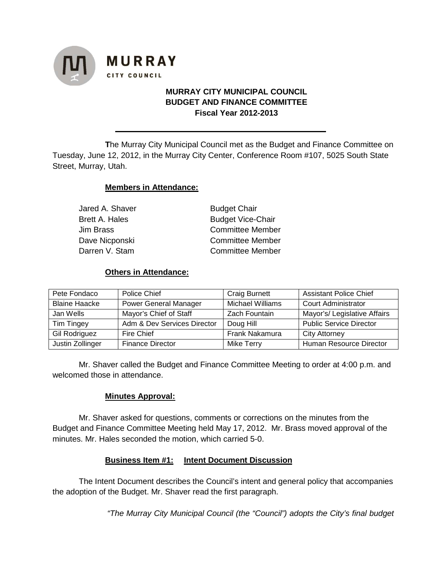

# **MURRAY CITY MUNICIPAL COUNCIL BUDGET AND FINANCE COMMITTEE Fiscal Year 2012-2013**

**T**he Murray City Municipal Council met as the Budget and Finance Committee on Tuesday, June 12, 2012, in the Murray City Center, Conference Room #107, 5025 South State Street, Murray, Utah.

#### **Members in Attendance:**

**MURRAY** 

CITY COUNCIL

| Jared A. Shaver | <b>Budget Chair</b>      |  |
|-----------------|--------------------------|--|
| Brett A. Hales  | <b>Budget Vice-Chair</b> |  |
| Jim Brass       | <b>Committee Member</b>  |  |
| Dave Nicponski  | <b>Committee Member</b>  |  |
| Darren V. Stam  | <b>Committee Member</b>  |  |
|                 |                          |  |

#### **Others in Attendance:**

| Pete Fondaco         | Police Chief                 | <b>Craig Burnett</b> | <b>Assistant Police Chief</b>  |
|----------------------|------------------------------|----------------------|--------------------------------|
| <b>Blaine Haacke</b> | <b>Power General Manager</b> | Michael Williams     | <b>Court Administrator</b>     |
| Jan Wells            | Mayor's Chief of Staff       | Zach Fountain        | Mayor's/ Legislative Affairs   |
| Tim Tingey           | Adm & Dev Services Director  | Doug Hill            | <b>Public Service Director</b> |
| <b>Gil Rodriguez</b> | Fire Chief                   | Frank Nakamura       | <b>City Attorney</b>           |
| Justin Zollinger     | <b>Finance Director</b>      | Mike Terry           | Human Resource Director        |

Mr. Shaver called the Budget and Finance Committee Meeting to order at 4:00 p.m. and welcomed those in attendance.

#### **Minutes Approval:**

Mr. Shaver asked for questions, comments or corrections on the minutes from the Budget and Finance Committee Meeting held May 17, 2012. Mr. Brass moved approval of the minutes. Mr. Hales seconded the motion, which carried 5-0.

#### **Business Item #1: Intent Document Discussion**

The Intent Document describes the Council's intent and general policy that accompanies the adoption of the Budget. Mr. Shaver read the first paragraph.

*"The Murray City Municipal Council (the "Council") adopts the City's final budget*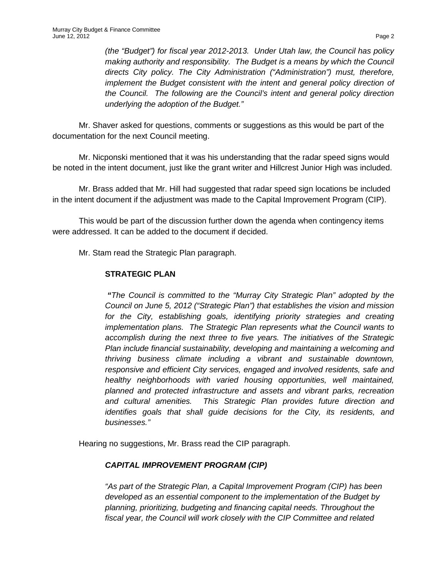*(the "Budget") for fiscal year 2012-2013. Under Utah law, the Council has policy making authority and responsibility. The Budget is a means by which the Council directs City policy. The City Administration ("Administration") must, therefore, implement the Budget consistent with the intent and general policy direction of the Council. The following are the Council's intent and general policy direction underlying the adoption of the Budget."*

Mr. Shaver asked for questions, comments or suggestions as this would be part of the documentation for the next Council meeting.

Mr. Nicponski mentioned that it was his understanding that the radar speed signs would be noted in the intent document, just like the grant writer and Hillcrest Junior High was included.

Mr. Brass added that Mr. Hill had suggested that radar speed sign locations be included in the intent document if the adjustment was made to the Capital Improvement Program (CIP).

This would be part of the discussion further down the agenda when contingency items were addressed. It can be added to the document if decided.

Mr. Stam read the Strategic Plan paragraph.

### **STRATEGIC PLAN**

*"The Council is committed to the "Murray City Strategic Plan" adopted by the Council on June 5, 2012 ("Strategic Plan") that establishes the vision and mission*  for the City, establishing goals, identifying priority strategies and creating *implementation plans. The Strategic Plan represents what the Council wants to accomplish during the next three to five years. The initiatives of the Strategic Plan include financial sustainability, developing and maintaining a welcoming and thriving business climate including a vibrant and sustainable downtown, responsive and efficient City services, engaged and involved residents, safe and healthy neighborhoods with varied housing opportunities, well maintained, planned and protected infrastructure and assets and vibrant parks, recreation and cultural amenities. This Strategic Plan provides future direction and identifies goals that shall guide decisions for the City, its residents, and businesses."* 

Hearing no suggestions, Mr. Brass read the CIP paragraph.

#### *CAPITAL IMPROVEMENT PROGRAM (CIP)*

*"As part of the Strategic Plan, a Capital Improvement Program (CIP) has been developed as an essential component to the implementation of the Budget by planning, prioritizing, budgeting and financing capital needs. Throughout the fiscal year, the Council will work closely with the CIP Committee and related*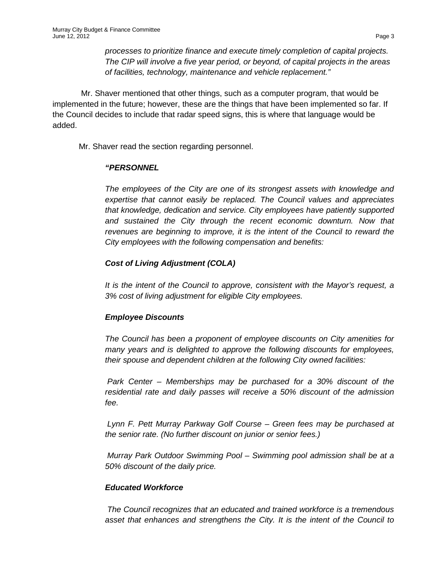*processes to prioritize finance and execute timely completion of capital projects. The CIP will involve a five year period, or beyond, of capital projects in the areas of facilities, technology, maintenance and vehicle replacement."*

Mr. Shaver mentioned that other things, such as a computer program, that would be implemented in the future; however, these are the things that have been implemented so far. If the Council decides to include that radar speed signs, this is where that language would be added.

Mr. Shaver read the section regarding personnel.

### *"PERSONNEL*

The employees of the City are one of its strongest assets with knowledge and *expertise that cannot easily be replaced. The Council values and appreciates that knowledge, dedication and service. City employees have patiently supported and sustained the City through the recent economic downturn. Now that revenues are beginning to improve, it is the intent of the Council to reward the City employees with the following compensation and benefits:*

## *Cost of Living Adjustment (COLA)*

 *It is the intent of the Council to approve, consistent with the Mayor's request, a 3% cost of living adjustment for eligible City employees.*

## *Employee Discounts*

 *The Council has been a proponent of employee discounts on City amenities for many years and is delighted to approve the following discounts for employees, their spouse and dependent children at the following City owned facilities:* 

 *Park Center – Memberships may be purchased for a 30% discount of the residential rate and daily passes will receive a 50% discount of the admission fee.* 

 *Lynn F. Pett Murray Parkway Golf Course – Green fees may be purchased at the senior rate. (No further discount on junior or senior fees.)*

 *Murray Park Outdoor Swimming Pool – Swimming pool admission shall be at a 50% discount of the daily price.*

## *Educated Workforce*

*The Council recognizes that an educated and trained workforce is a tremendous asset that enhances and strengthens the City. It is the intent of the Council to*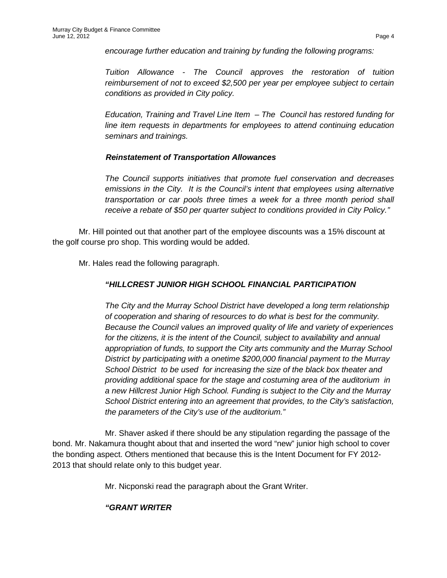*encourage further education and training by funding the following programs:*

*Tuition Allowance - The Council approves the restoration of tuition reimbursement of not to exceed \$2,500 per year per employee subject to certain conditions as provided in City policy.*

*Education, Training and Travel Line Item – The Council has restored funding for line item requests in departments for employees to attend continuing education seminars and trainings.* 

### *Reinstatement of Transportation Allowances*

*The Council supports initiatives that promote fuel conservation and decreases emissions in the City. It is the Council's intent that employees using alternative transportation or car pools three times a week for a three month period shall receive a rebate of \$50 per quarter subject to conditions provided in City Policy."*

Mr. Hill pointed out that another part of the employee discounts was a 15% discount at the golf course pro shop. This wording would be added.

Mr. Hales read the following paragraph.

### *"HILLCREST JUNIOR HIGH SCHOOL FINANCIAL PARTICIPATION*

*The City and the Murray School District have developed a long term relationship of cooperation and sharing of resources to do what is best for the community. Because the Council values an improved quality of life and variety of experiences for the citizens, it is the intent of the Council, subject to availability and annual appropriation of funds, to support the City arts community and the Murray School District by participating with a onetime \$200,000 financial payment to the Murray School District to be used for increasing the size of the black box theater and providing additional space for the stage and costuming area of the auditorium in a new Hillcrest Junior High School. Funding is subject to the City and the Murray School District entering into an agreement that provides, to the City's satisfaction, the parameters of the City's use of the auditorium."* 

Mr. Shaver asked if there should be any stipulation regarding the passage of the bond. Mr. Nakamura thought about that and inserted the word "new" junior high school to cover the bonding aspect. Others mentioned that because this is the Intent Document for FY 2012- 2013 that should relate only to this budget year.

Mr. Nicponski read the paragraph about the Grant Writer.

## *"GRANT WRITER*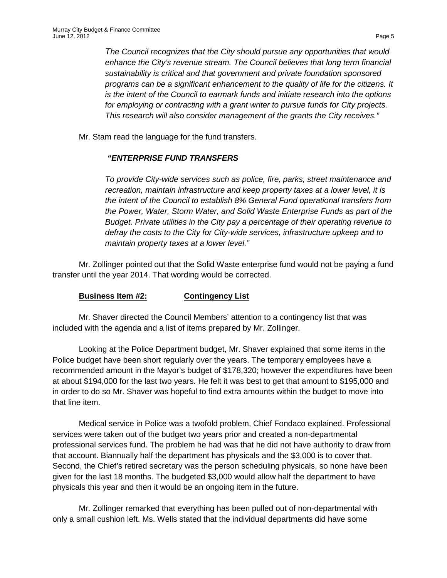*The Council recognizes that the City should pursue any opportunities that would enhance the City's revenue stream. The Council believes that long term financial sustainability is critical and that government and private foundation sponsored programs can be a significant enhancement to the quality of life for the citizens. It is the intent of the Council to earmark funds and initiate research into the options for employing or contracting with a grant writer to pursue funds for City projects. This research will also consider management of the grants the City receives."*

Mr. Stam read the language for the fund transfers.

### *"ENTERPRISE FUND TRANSFERS*

*To provide City-wide services such as police, fire, parks, street maintenance and recreation, maintain infrastructure and keep property taxes at a lower level, it is the intent of the Council to establish 8% General Fund operational transfers from the Power, Water, Storm Water, and Solid Waste Enterprise Funds as part of the Budget. Private utilities in the City pay a percentage of their operating revenue to defray the costs to the City for City-wide services, infrastructure upkeep and to maintain property taxes at a lower level."*

Mr. Zollinger pointed out that the Solid Waste enterprise fund would not be paying a fund transfer until the year 2014. That wording would be corrected.

## **Business Item #2: Contingency List**

Mr. Shaver directed the Council Members' attention to a contingency list that was included with the agenda and a list of items prepared by Mr. Zollinger.

Looking at the Police Department budget, Mr. Shaver explained that some items in the Police budget have been short regularly over the years. The temporary employees have a recommended amount in the Mayor's budget of \$178,320; however the expenditures have been at about \$194,000 for the last two years. He felt it was best to get that amount to \$195,000 and in order to do so Mr. Shaver was hopeful to find extra amounts within the budget to move into that line item.

Medical service in Police was a twofold problem, Chief Fondaco explained. Professional services were taken out of the budget two years prior and created a non-departmental professional services fund. The problem he had was that he did not have authority to draw from that account. Biannually half the department has physicals and the \$3,000 is to cover that. Second, the Chief's retired secretary was the person scheduling physicals, so none have been given for the last 18 months. The budgeted \$3,000 would allow half the department to have physicals this year and then it would be an ongoing item in the future.

Mr. Zollinger remarked that everything has been pulled out of non-departmental with only a small cushion left. Ms. Wells stated that the individual departments did have some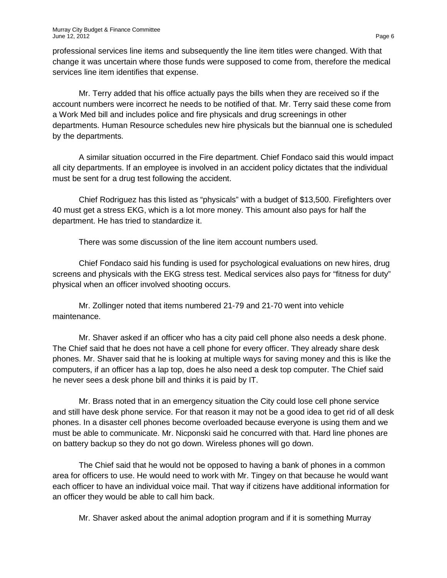professional services line items and subsequently the line item titles were changed. With that change it was uncertain where those funds were supposed to come from, therefore the medical services line item identifies that expense.

Mr. Terry added that his office actually pays the bills when they are received so if the account numbers were incorrect he needs to be notified of that. Mr. Terry said these come from a Work Med bill and includes police and fire physicals and drug screenings in other departments. Human Resource schedules new hire physicals but the biannual one is scheduled by the departments.

A similar situation occurred in the Fire department. Chief Fondaco said this would impact all city departments. If an employee is involved in an accident policy dictates that the individual must be sent for a drug test following the accident.

Chief Rodriguez has this listed as "physicals" with a budget of \$13,500. Firefighters over 40 must get a stress EKG, which is a lot more money. This amount also pays for half the department. He has tried to standardize it.

There was some discussion of the line item account numbers used.

Chief Fondaco said his funding is used for psychological evaluations on new hires, drug screens and physicals with the EKG stress test. Medical services also pays for "fitness for duty" physical when an officer involved shooting occurs.

Mr. Zollinger noted that items numbered 21-79 and 21-70 went into vehicle maintenance.

Mr. Shaver asked if an officer who has a city paid cell phone also needs a desk phone. The Chief said that he does not have a cell phone for every officer. They already share desk phones. Mr. Shaver said that he is looking at multiple ways for saving money and this is like the computers, if an officer has a lap top, does he also need a desk top computer. The Chief said he never sees a desk phone bill and thinks it is paid by IT.

Mr. Brass noted that in an emergency situation the City could lose cell phone service and still have desk phone service. For that reason it may not be a good idea to get rid of all desk phones. In a disaster cell phones become overloaded because everyone is using them and we must be able to communicate. Mr. Nicponski said he concurred with that. Hard line phones are on battery backup so they do not go down. Wireless phones will go down.

The Chief said that he would not be opposed to having a bank of phones in a common area for officers to use. He would need to work with Mr. Tingey on that because he would want each officer to have an individual voice mail. That way if citizens have additional information for an officer they would be able to call him back.

Mr. Shaver asked about the animal adoption program and if it is something Murray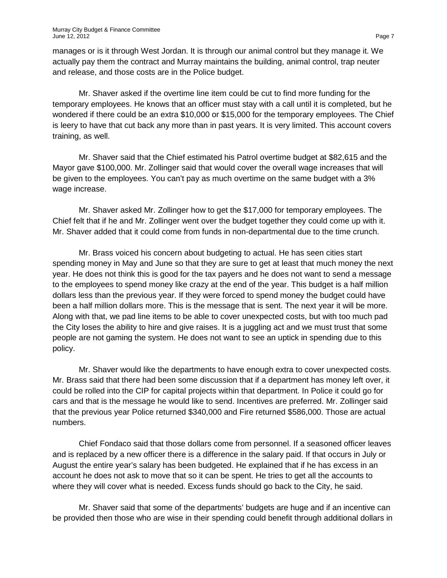manages or is it through West Jordan. It is through our animal control but they manage it. We actually pay them the contract and Murray maintains the building, animal control, trap neuter and release, and those costs are in the Police budget.

Mr. Shaver asked if the overtime line item could be cut to find more funding for the temporary employees. He knows that an officer must stay with a call until it is completed, but he wondered if there could be an extra \$10,000 or \$15,000 for the temporary employees. The Chief is leery to have that cut back any more than in past years. It is very limited. This account covers training, as well.

Mr. Shaver said that the Chief estimated his Patrol overtime budget at \$82,615 and the Mayor gave \$100,000. Mr. Zollinger said that would cover the overall wage increases that will be given to the employees. You can't pay as much overtime on the same budget with a 3% wage increase.

Mr. Shaver asked Mr. Zollinger how to get the \$17,000 for temporary employees. The Chief felt that if he and Mr. Zollinger went over the budget together they could come up with it. Mr. Shaver added that it could come from funds in non-departmental due to the time crunch.

Mr. Brass voiced his concern about budgeting to actual. He has seen cities start spending money in May and June so that they are sure to get at least that much money the next year. He does not think this is good for the tax payers and he does not want to send a message to the employees to spend money like crazy at the end of the year. This budget is a half million dollars less than the previous year. If they were forced to spend money the budget could have been a half million dollars more. This is the message that is sent. The next year it will be more. Along with that, we pad line items to be able to cover unexpected costs, but with too much pad the City loses the ability to hire and give raises. It is a juggling act and we must trust that some people are not gaming the system. He does not want to see an uptick in spending due to this policy.

Mr. Shaver would like the departments to have enough extra to cover unexpected costs. Mr. Brass said that there had been some discussion that if a department has money left over, it could be rolled into the CIP for capital projects within that department. In Police it could go for cars and that is the message he would like to send. Incentives are preferred. Mr. Zollinger said that the previous year Police returned \$340,000 and Fire returned \$586,000. Those are actual numbers.

Chief Fondaco said that those dollars come from personnel. If a seasoned officer leaves and is replaced by a new officer there is a difference in the salary paid. If that occurs in July or August the entire year's salary has been budgeted. He explained that if he has excess in an account he does not ask to move that so it can be spent. He tries to get all the accounts to where they will cover what is needed. Excess funds should go back to the City, he said.

Mr. Shaver said that some of the departments' budgets are huge and if an incentive can be provided then those who are wise in their spending could benefit through additional dollars in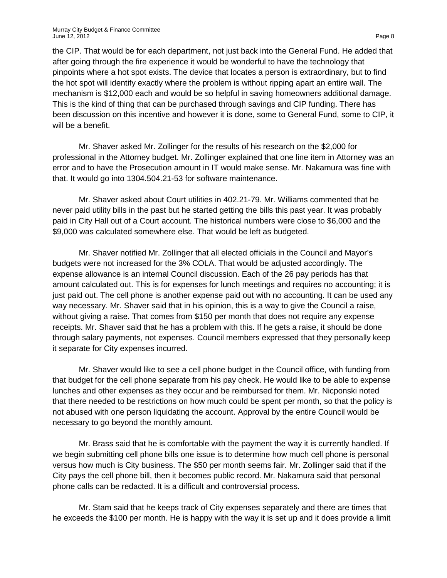the CIP. That would be for each department, not just back into the General Fund. He added that after going through the fire experience it would be wonderful to have the technology that pinpoints where a hot spot exists. The device that locates a person is extraordinary, but to find the hot spot will identify exactly where the problem is without ripping apart an entire wall. The mechanism is \$12,000 each and would be so helpful in saving homeowners additional damage. This is the kind of thing that can be purchased through savings and CIP funding. There has been discussion on this incentive and however it is done, some to General Fund, some to CIP, it will be a benefit.

Mr. Shaver asked Mr. Zollinger for the results of his research on the \$2,000 for professional in the Attorney budget. Mr. Zollinger explained that one line item in Attorney was an error and to have the Prosecution amount in IT would make sense. Mr. Nakamura was fine with that. It would go into 1304.504.21-53 for software maintenance.

Mr. Shaver asked about Court utilities in 402.21-79. Mr. Williams commented that he never paid utility bills in the past but he started getting the bills this past year. It was probably paid in City Hall out of a Court account. The historical numbers were close to \$6,000 and the \$9,000 was calculated somewhere else. That would be left as budgeted.

Mr. Shaver notified Mr. Zollinger that all elected officials in the Council and Mayor's budgets were not increased for the 3% COLA. That would be adjusted accordingly. The expense allowance is an internal Council discussion. Each of the 26 pay periods has that amount calculated out. This is for expenses for lunch meetings and requires no accounting; it is just paid out. The cell phone is another expense paid out with no accounting. It can be used any way necessary. Mr. Shaver said that in his opinion, this is a way to give the Council a raise, without giving a raise. That comes from \$150 per month that does not require any expense receipts. Mr. Shaver said that he has a problem with this. If he gets a raise, it should be done through salary payments, not expenses. Council members expressed that they personally keep it separate for City expenses incurred.

Mr. Shaver would like to see a cell phone budget in the Council office, with funding from that budget for the cell phone separate from his pay check. He would like to be able to expense lunches and other expenses as they occur and be reimbursed for them. Mr. Nicponski noted that there needed to be restrictions on how much could be spent per month, so that the policy is not abused with one person liquidating the account. Approval by the entire Council would be necessary to go beyond the monthly amount.

Mr. Brass said that he is comfortable with the payment the way it is currently handled. If we begin submitting cell phone bills one issue is to determine how much cell phone is personal versus how much is City business. The \$50 per month seems fair. Mr. Zollinger said that if the City pays the cell phone bill, then it becomes public record. Mr. Nakamura said that personal phone calls can be redacted. It is a difficult and controversial process.

Mr. Stam said that he keeps track of City expenses separately and there are times that he exceeds the \$100 per month. He is happy with the way it is set up and it does provide a limit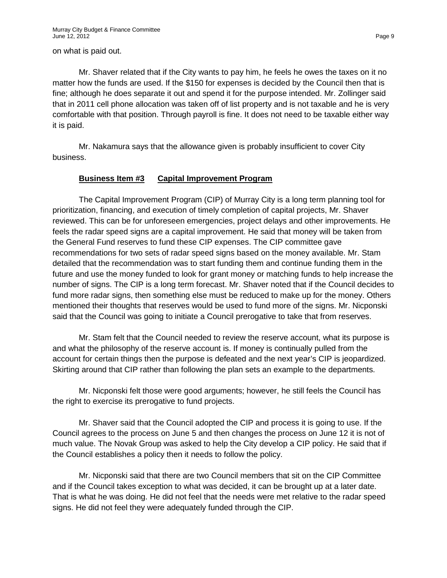on what is paid out.

Mr. Shaver related that if the City wants to pay him, he feels he owes the taxes on it no matter how the funds are used. If the \$150 for expenses is decided by the Council then that is fine; although he does separate it out and spend it for the purpose intended. Mr. Zollinger said that in 2011 cell phone allocation was taken off of list property and is not taxable and he is very comfortable with that position. Through payroll is fine. It does not need to be taxable either way it is paid.

Mr. Nakamura says that the allowance given is probably insufficient to cover City business.

## **Business Item #3 Capital Improvement Program**

The Capital Improvement Program (CIP) of Murray City is a long term planning tool for prioritization, financing, and execution of timely completion of capital projects, Mr. Shaver reviewed. This can be for unforeseen emergencies, project delays and other improvements. He feels the radar speed signs are a capital improvement. He said that money will be taken from the General Fund reserves to fund these CIP expenses. The CIP committee gave recommendations for two sets of radar speed signs based on the money available. Mr. Stam detailed that the recommendation was to start funding them and continue funding them in the future and use the money funded to look for grant money or matching funds to help increase the number of signs. The CIP is a long term forecast. Mr. Shaver noted that if the Council decides to fund more radar signs, then something else must be reduced to make up for the money. Others mentioned their thoughts that reserves would be used to fund more of the signs. Mr. Nicponski said that the Council was going to initiate a Council prerogative to take that from reserves.

Mr. Stam felt that the Council needed to review the reserve account, what its purpose is and what the philosophy of the reserve account is. If money is continually pulled from the account for certain things then the purpose is defeated and the next year's CIP is jeopardized. Skirting around that CIP rather than following the plan sets an example to the departments.

Mr. Nicponski felt those were good arguments; however, he still feels the Council has the right to exercise its prerogative to fund projects.

Mr. Shaver said that the Council adopted the CIP and process it is going to use. If the Council agrees to the process on June 5 and then changes the process on June 12 it is not of much value. The Novak Group was asked to help the City develop a CIP policy. He said that if the Council establishes a policy then it needs to follow the policy.

Mr. Nicponski said that there are two Council members that sit on the CIP Committee and if the Council takes exception to what was decided, it can be brought up at a later date. That is what he was doing. He did not feel that the needs were met relative to the radar speed signs. He did not feel they were adequately funded through the CIP.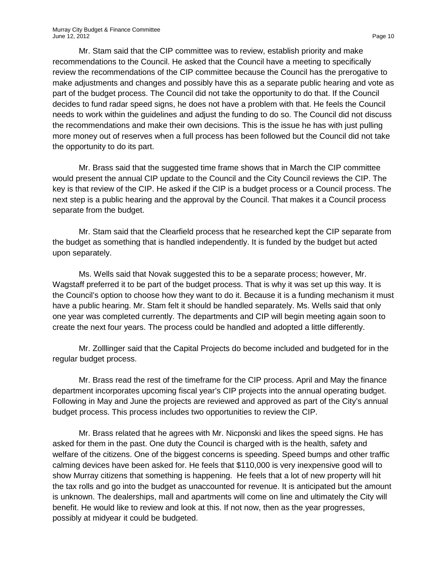Mr. Stam said that the CIP committee was to review, establish priority and make recommendations to the Council. He asked that the Council have a meeting to specifically review the recommendations of the CIP committee because the Council has the prerogative to make adjustments and changes and possibly have this as a separate public hearing and vote as part of the budget process. The Council did not take the opportunity to do that. If the Council decides to fund radar speed signs, he does not have a problem with that. He feels the Council needs to work within the guidelines and adjust the funding to do so. The Council did not discuss the recommendations and make their own decisions. This is the issue he has with just pulling more money out of reserves when a full process has been followed but the Council did not take the opportunity to do its part.

Mr. Brass said that the suggested time frame shows that in March the CIP committee would present the annual CIP update to the Council and the City Council reviews the CIP. The key is that review of the CIP. He asked if the CIP is a budget process or a Council process. The next step is a public hearing and the approval by the Council. That makes it a Council process separate from the budget.

Mr. Stam said that the Clearfield process that he researched kept the CIP separate from the budget as something that is handled independently. It is funded by the budget but acted upon separately.

Ms. Wells said that Novak suggested this to be a separate process; however, Mr. Wagstaff preferred it to be part of the budget process. That is why it was set up this way. It is the Council's option to choose how they want to do it. Because it is a funding mechanism it must have a public hearing. Mr. Stam felt it should be handled separately. Ms. Wells said that only one year was completed currently. The departments and CIP will begin meeting again soon to create the next four years. The process could be handled and adopted a little differently.

Mr. Zolllinger said that the Capital Projects do become included and budgeted for in the regular budget process.

Mr. Brass read the rest of the timeframe for the CIP process. April and May the finance department incorporates upcoming fiscal year's CIP projects into the annual operating budget. Following in May and June the projects are reviewed and approved as part of the City's annual budget process. This process includes two opportunities to review the CIP.

Mr. Brass related that he agrees with Mr. Nicponski and likes the speed signs. He has asked for them in the past. One duty the Council is charged with is the health, safety and welfare of the citizens. One of the biggest concerns is speeding. Speed bumps and other traffic calming devices have been asked for. He feels that \$110,000 is very inexpensive good will to show Murray citizens that something is happening. He feels that a lot of new property will hit the tax rolls and go into the budget as unaccounted for revenue. It is anticipated but the amount is unknown. The dealerships, mall and apartments will come on line and ultimately the City will benefit. He would like to review and look at this. If not now, then as the year progresses, possibly at midyear it could be budgeted.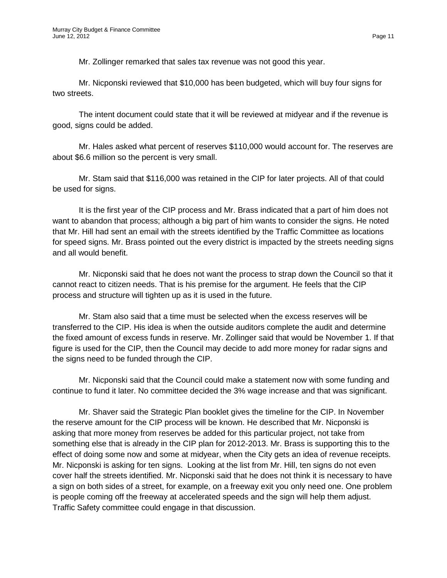Mr. Zollinger remarked that sales tax revenue was not good this year.

Mr. Nicponski reviewed that \$10,000 has been budgeted, which will buy four signs for two streets.

The intent document could state that it will be reviewed at midyear and if the revenue is good, signs could be added.

Mr. Hales asked what percent of reserves \$110,000 would account for. The reserves are about \$6.6 million so the percent is very small.

Mr. Stam said that \$116,000 was retained in the CIP for later projects. All of that could be used for signs.

It is the first year of the CIP process and Mr. Brass indicated that a part of him does not want to abandon that process; although a big part of him wants to consider the signs. He noted that Mr. Hill had sent an email with the streets identified by the Traffic Committee as locations for speed signs. Mr. Brass pointed out the every district is impacted by the streets needing signs and all would benefit.

Mr. Nicponski said that he does not want the process to strap down the Council so that it cannot react to citizen needs. That is his premise for the argument. He feels that the CIP process and structure will tighten up as it is used in the future.

Mr. Stam also said that a time must be selected when the excess reserves will be transferred to the CIP. His idea is when the outside auditors complete the audit and determine the fixed amount of excess funds in reserve. Mr. Zollinger said that would be November 1. If that figure is used for the CIP, then the Council may decide to add more money for radar signs and the signs need to be funded through the CIP.

Mr. Nicponski said that the Council could make a statement now with some funding and continue to fund it later. No committee decided the 3% wage increase and that was significant.

Mr. Shaver said the Strategic Plan booklet gives the timeline for the CIP. In November the reserve amount for the CIP process will be known. He described that Mr. Nicponski is asking that more money from reserves be added for this particular project, not take from something else that is already in the CIP plan for 2012-2013. Mr. Brass is supporting this to the effect of doing some now and some at midyear, when the City gets an idea of revenue receipts. Mr. Nicponski is asking for ten signs. Looking at the list from Mr. Hill, ten signs do not even cover half the streets identified. Mr. Nicponski said that he does not think it is necessary to have a sign on both sides of a street, for example, on a freeway exit you only need one. One problem is people coming off the freeway at accelerated speeds and the sign will help them adjust. Traffic Safety committee could engage in that discussion.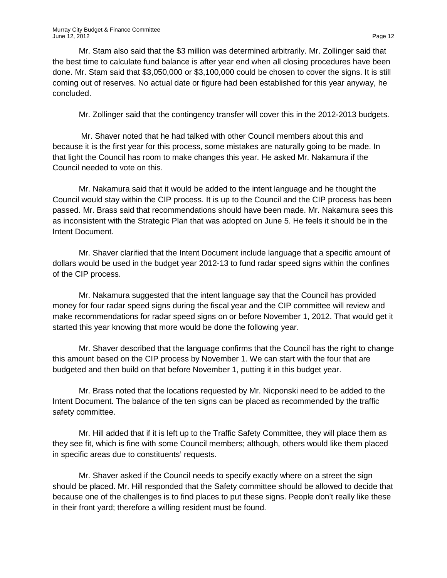Mr. Stam also said that the \$3 million was determined arbitrarily. Mr. Zollinger said that the best time to calculate fund balance is after year end when all closing procedures have been done. Mr. Stam said that \$3,050,000 or \$3,100,000 could be chosen to cover the signs. It is still coming out of reserves. No actual date or figure had been established for this year anyway, he concluded.

Mr. Zollinger said that the contingency transfer will cover this in the 2012-2013 budgets.

Mr. Shaver noted that he had talked with other Council members about this and because it is the first year for this process, some mistakes are naturally going to be made. In that light the Council has room to make changes this year. He asked Mr. Nakamura if the Council needed to vote on this.

Mr. Nakamura said that it would be added to the intent language and he thought the Council would stay within the CIP process. It is up to the Council and the CIP process has been passed. Mr. Brass said that recommendations should have been made. Mr. Nakamura sees this as inconsistent with the Strategic Plan that was adopted on June 5. He feels it should be in the Intent Document.

Mr. Shaver clarified that the Intent Document include language that a specific amount of dollars would be used in the budget year 2012-13 to fund radar speed signs within the confines of the CIP process.

Mr. Nakamura suggested that the intent language say that the Council has provided money for four radar speed signs during the fiscal year and the CIP committee will review and make recommendations for radar speed signs on or before November 1, 2012. That would get it started this year knowing that more would be done the following year.

Mr. Shaver described that the language confirms that the Council has the right to change this amount based on the CIP process by November 1. We can start with the four that are budgeted and then build on that before November 1, putting it in this budget year.

Mr. Brass noted that the locations requested by Mr. Nicponski need to be added to the Intent Document. The balance of the ten signs can be placed as recommended by the traffic safety committee.

Mr. Hill added that if it is left up to the Traffic Safety Committee, they will place them as they see fit, which is fine with some Council members; although, others would like them placed in specific areas due to constituents' requests.

Mr. Shaver asked if the Council needs to specify exactly where on a street the sign should be placed. Mr. Hill responded that the Safety committee should be allowed to decide that because one of the challenges is to find places to put these signs. People don't really like these in their front yard; therefore a willing resident must be found.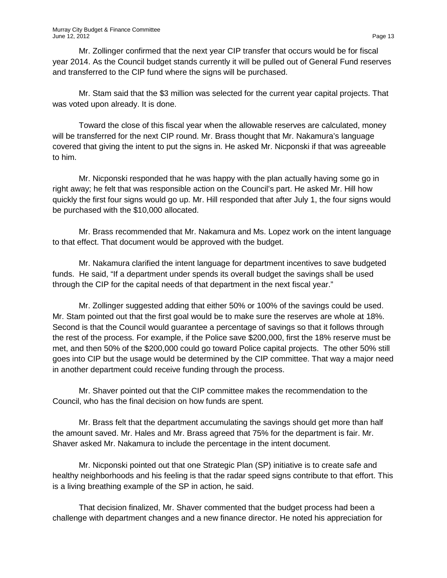Mr. Zollinger confirmed that the next year CIP transfer that occurs would be for fiscal year 2014. As the Council budget stands currently it will be pulled out of General Fund reserves and transferred to the CIP fund where the signs will be purchased.

Mr. Stam said that the \$3 million was selected for the current year capital projects. That was voted upon already. It is done.

Toward the close of this fiscal year when the allowable reserves are calculated, money will be transferred for the next CIP round. Mr. Brass thought that Mr. Nakamura's language covered that giving the intent to put the signs in. He asked Mr. Nicponski if that was agreeable to him.

Mr. Nicponski responded that he was happy with the plan actually having some go in right away; he felt that was responsible action on the Council's part. He asked Mr. Hill how quickly the first four signs would go up. Mr. Hill responded that after July 1, the four signs would be purchased with the \$10,000 allocated.

Mr. Brass recommended that Mr. Nakamura and Ms. Lopez work on the intent language to that effect. That document would be approved with the budget.

Mr. Nakamura clarified the intent language for department incentives to save budgeted funds. He said, "If a department under spends its overall budget the savings shall be used through the CIP for the capital needs of that department in the next fiscal year."

Mr. Zollinger suggested adding that either 50% or 100% of the savings could be used. Mr. Stam pointed out that the first goal would be to make sure the reserves are whole at 18%. Second is that the Council would guarantee a percentage of savings so that it follows through the rest of the process. For example, if the Police save \$200,000, first the 18% reserve must be met, and then 50% of the \$200,000 could go toward Police capital projects. The other 50% still goes into CIP but the usage would be determined by the CIP committee. That way a major need in another department could receive funding through the process.

Mr. Shaver pointed out that the CIP committee makes the recommendation to the Council, who has the final decision on how funds are spent.

Mr. Brass felt that the department accumulating the savings should get more than half the amount saved. Mr. Hales and Mr. Brass agreed that 75% for the department is fair. Mr. Shaver asked Mr. Nakamura to include the percentage in the intent document.

Mr. Nicponski pointed out that one Strategic Plan (SP) initiative is to create safe and healthy neighborhoods and his feeling is that the radar speed signs contribute to that effort. This is a living breathing example of the SP in action, he said.

That decision finalized, Mr. Shaver commented that the budget process had been a challenge with department changes and a new finance director. He noted his appreciation for